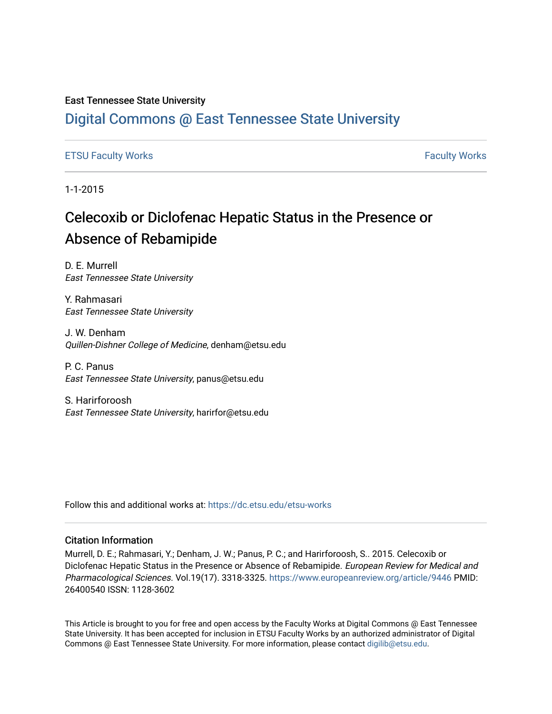# East Tennessee State University

# [Digital Commons @ East Tennessee State University](https://dc.etsu.edu/)

# [ETSU Faculty Works](https://dc.etsu.edu/etsu-works) **Faculty Works** [Faculty Works](https://dc.etsu.edu/faculty-works) **Faculty Works**

1-1-2015

# Celecoxib or Diclofenac Hepatic Status in the Presence or Absence of Rebamipide

D. E. Murrell East Tennessee State University

Y. Rahmasari East Tennessee State University

J. W. Denham Quillen-Dishner College of Medicine, denham@etsu.edu

P. C. Panus East Tennessee State University, panus@etsu.edu

S. Harirforoosh East Tennessee State University, harirfor@etsu.edu

Follow this and additional works at: [https://dc.etsu.edu/etsu-works](https://dc.etsu.edu/etsu-works?utm_source=dc.etsu.edu%2Fetsu-works%2F15469&utm_medium=PDF&utm_campaign=PDFCoverPages) 

# Citation Information

Murrell, D. E.; Rahmasari, Y.; Denham, J. W.; Panus, P. C.; and Harirforoosh, S.. 2015. Celecoxib or Diclofenac Hepatic Status in the Presence or Absence of Rebamipide. European Review for Medical and Pharmacological Sciences. Vol.19(17). 3318-3325. <https://www.europeanreview.org/article/9446> PMID: 26400540 ISSN: 1128-3602

This Article is brought to you for free and open access by the Faculty Works at Digital Commons @ East Tennessee State University. It has been accepted for inclusion in ETSU Faculty Works by an authorized administrator of Digital Commons @ East Tennessee State University. For more information, please contact [digilib@etsu.edu.](mailto:digilib@etsu.edu)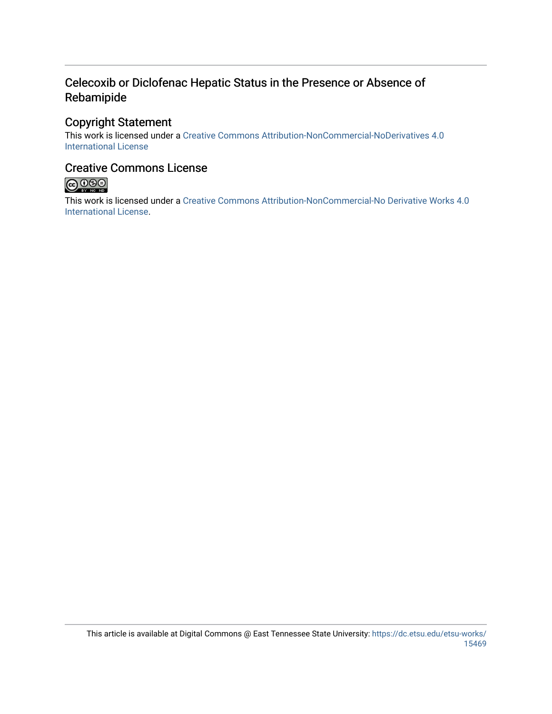# Celecoxib or Diclofenac Hepatic Status in the Presence or Absence of Rebamipide

# Copyright Statement

This work is licensed under a [Creative Commons Attribution-NonCommercial-NoDerivatives 4.0](http://creativecommons.org/licenses/by-nc-nd/4.0/)  [International License](http://creativecommons.org/licenses/by-nc-nd/4.0/) 

# Creative Commons License



This work is licensed under a [Creative Commons Attribution-NonCommercial-No Derivative Works 4.0](https://creativecommons.org/licenses/by-nc-nd/4.0/)  [International License.](https://creativecommons.org/licenses/by-nc-nd/4.0/)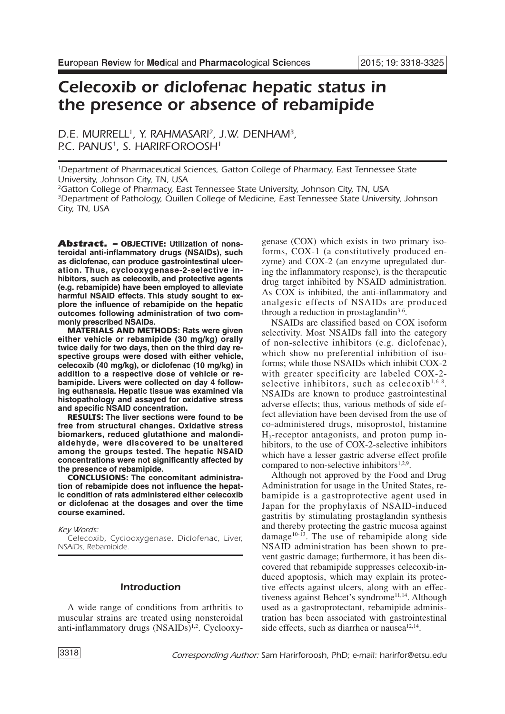# *Celecoxib or diclofenac hepatic status in the presence or absence of rebamipide*

*D.E. MURRELL1, Y. RAHMASARI 2, J.W. DENHAM3, P.C. PANUS1, S. HARIRFOROOSH1*

*1Department of Pharmaceutical Sciences, Gatton College of Pharmacy, East Tennessee State University, Johnson City, TN, USA*

*2Gatton College of Pharmacy, East Tennessee State University, Johnson City, TN, USA 3Department of Pathology, Quillen College of Medicine, East Tennessee State University, Johnson City, TN, USA*

*Abstract. –* **OBJECTIVE: Utilization of nonsteroidal anti-inflammatory drugs (NSAIDs), such as diclofenac, can produce gastrointestinal ulceration. Thus, cyclooxygenase-2-selective inhibitors, such as celecoxib, and protective agents (e.g. rebamipide) have been employed to alleviate harmful NSAID effects. This study sought to explore the influence of rebamipide on the hepatic outcomes following administration of two commonly prescribed NSAIDs.**

**MATERIALS AND METHODS: Rats were given either vehicle or rebamipide (30 mg/kg) orally twice daily for two days, then on the third day respective groups were dosed with either vehicle, celecoxib (40 mg/kg), or diclofenac (10 mg/kg) in addition to a respective dose of vehicle or rebamipide. Livers were collected on day 4 following euthanasia. Hepatic tissue was examined via histopathology and assayed for oxidative stress and specific NSAID concentration.**

**RESULTS: The liver sections were found to be free from structural changes. Oxidative stress biomarkers, reduced glutathione and malondialdehyde, were discovered to be unaltered among the groups tested. The hepatic NSAID concentrations were not significantly affected by the presence of rebamipide.**

**CONCLUSIONS: The concomitant administration of rebamipide does not influence the hepatic condition of rats administered either celecoxib or diclofenac at the dosages and over the time course examined.**

*Key Words:*

*Celecoxib, Cyclooxygenase, Diclofenac, Liver, NSAIDs, Rebamipide.*

# *Introduction*

A wide range of conditions from arthritis to muscular strains are treated using nonsteroidal anti-inflammatory drugs (NSAIDs)<sup>1,2</sup>. Cyclooxygenase (COX) which exists in two primary isoforms, COX-1 (a constitutively produced enzyme) and COX-2 (an enzyme upregulated during the inflammatory response), is the therapeutic drug target inhibited by NSAID administration. As COX is inhibited, the anti-inflammatory and analgesic effects of NSAIDs are produced through a reduction in prostaglandin<sup>3-6</sup>.

NSAIDs are classified based on COX isoform selectivity. Most NSAIDs fall into the category of non-selective inhibitors (e.g. diclofenac), which show no preferential inhibition of isoforms; while those NSAIDs which inhibit COX-2 with greater specificity are labeled COX-2 selective inhibitors, such as celecoxib<sup>1,6-8</sup>. NSAIDs are known to produce gastrointestinal adverse effects; thus, various methods of side effect alleviation have been devised from the use of co-administered drugs, misoprostol, histamine  $H_2$ -receptor antagonists, and proton pump inhibitors, to the use of COX-2-selective inhibitors which have a lesser gastric adverse effect profile compared to non-selective inhibitors<sup>1,2,9</sup>.

Although not approved by the Food and Drug Administration for usage in the United States, rebamipide is a gastroprotective agent used in Japan for the prophylaxis of NSAID-induced gastritis by stimulating prostaglandin synthesis and thereby protecting the gastric mucosa against damage<sup>10-13</sup>. The use of rebamipide along side NSAID administration has been shown to prevent gastric damage; furthermore, it has been discovered that rebamipide suppresses celecoxib-induced apoptosis, which may explain its protective effects against ulcers, along with an effectiveness against Behcet's syndrome<sup>11,14</sup>. Although used as a gastroprotectant, rebamipide administration has been associated with gastrointestinal side effects, such as diarrhea or nausea $12,14$ .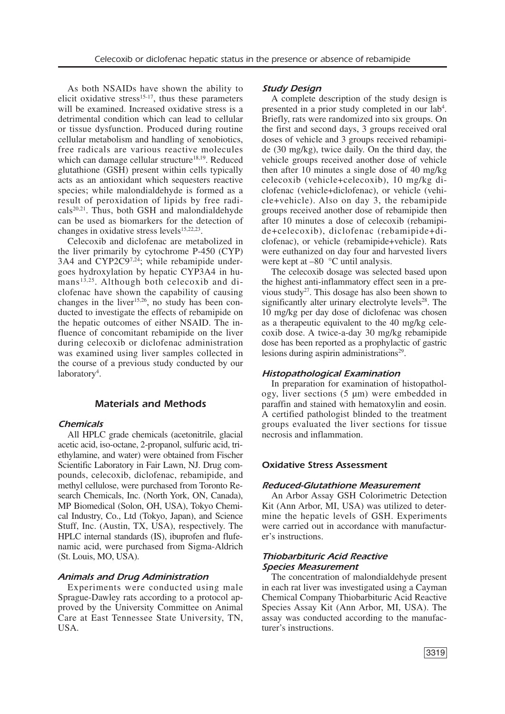As both NSAIDs have shown the ability to elicit oxidative stress $15-17$ , thus these parameters will be examined. Increased oxidative stress is a detrimental condition which can lead to cellular or tissue dysfunction. Produced during routine cellular metabolism and handling of xenobiotics, free radicals are various reactive molecules which can damage cellular structure<sup>18,19</sup>. Reduced glutathione (GSH) present within cells typically acts as an antioxidant which sequesters reactive species; while malondialdehyde is formed as a result of peroxidation of lipids by free radicals<sup>20,21</sup>. Thus, both GSH and malondialdehyde can be used as biomarkers for the detection of changes in oxidative stress levels<sup>15,22,23</sup>.

Celecoxib and diclofenac are metabolized in the liver primarily by cytochrome P-450 (CYP) 3A4 and CYP2C97,24; while rebamipide undergoes hydroxylation by hepatic CYP3A4 in humans<sup>13,25</sup>. Although both celecoxib and diclofenac have shown the capability of causing changes in the liver $15,26$ , no study has been conducted to investigate the effects of rebamipide on the hepatic outcomes of either NSAID. The influence of concomitant rebamipide on the liver during celecoxib or diclofenac administration was examined using liver samples collected in the course of a previous study conducted by our laboratory<sup>4</sup>.

# *Materials and Methods*

### *Chemicals*

All HPLC grade chemicals (acetonitrile, glacial acetic acid, iso-octane, 2-propanol, sulfuric acid, triethylamine, and water) were obtained from Fischer Scientific Laboratory in Fair Lawn, NJ. Drug compounds, celecoxib, diclofenac, rebamipide, and methyl cellulose, were purchased from Toronto Research Chemicals, Inc. (North York, ON, Canada), MP Biomedical (Solon, OH, USA), Tokyo Chemical Industry, Co., Ltd (Tokyo, Japan), and Science Stuff, Inc. (Austin, TX, USA), respectively. The HPLC internal standards (IS), ibuprofen and flufenamic acid, were purchased from Sigma-Aldrich (St. Louis, MO, USA).

# *Animals and Drug Administration*

Experiments were conducted using male Sprague-Dawley rats according to a protocol approved by the University Committee on Animal Care at East Tennessee State University, TN, USA.

#### *Study Design*

A complete description of the study design is presented in a prior study completed in our lab<sup>4</sup>. Briefly, rats were randomized into six groups. On the first and second days, 3 groups received oral doses of vehicle and 3 groups received rebamipide (30 mg/kg), twice daily. On the third day, the vehicle groups received another dose of vehicle then after 10 minutes a single dose of 40 mg/kg celecoxib (vehicle+celecoxib), 10 mg/kg diclofenac (vehicle+diclofenac), or vehicle (vehicle+vehicle). Also on day 3, the rebamipide groups received another dose of rebamipide then after 10 minutes a dose of celecoxib (rebamipide+celecoxib), diclofenac (rebamipide+diclofenac), or vehicle (rebamipide+vehicle). Rats were euthanized on day four and harvested livers were kept at –80 °C until analysis.

The celecoxib dosage was selected based upon the highest anti-inflammatory effect seen in a previous study<sup>27</sup>. This dosage has also been shown to significantly alter urinary electrolyte levels<sup>28</sup>. The 10 mg/kg per day dose of diclofenac was chosen as a therapeutic equivalent to the 40 mg/kg celecoxib dose. A twice-a-day 30 mg/kg rebamipide dose has been reported as a prophylactic of gastric lesions during aspirin administrations<sup>29</sup>.

#### *Histopathological Examination*

In preparation for examination of histopathology, liver sections (5 µm) were embedded in paraffin and stained with hematoxylin and eosin. A certified pathologist blinded to the treatment groups evaluated the liver sections for tissue necrosis and inflammation.

#### *Oxidative Stress Assessment*

#### *Reduced-Glutathione Measurement*

An Arbor Assay GSH Colorimetric Detection Kit (Ann Arbor, MI, USA) was utilized to determine the hepatic levels of GSH. Experiments were carried out in accordance with manufacturer's instructions.

#### *Thiobarbituric Acid Reactive Species Measurement*

The concentration of malondialdehyde present in each rat liver was investigated using a Cayman Chemical Company Thiobarbituric Acid Reactive Species Assay Kit (Ann Arbor, MI, USA). The assay was conducted according to the manufacturer's instructions.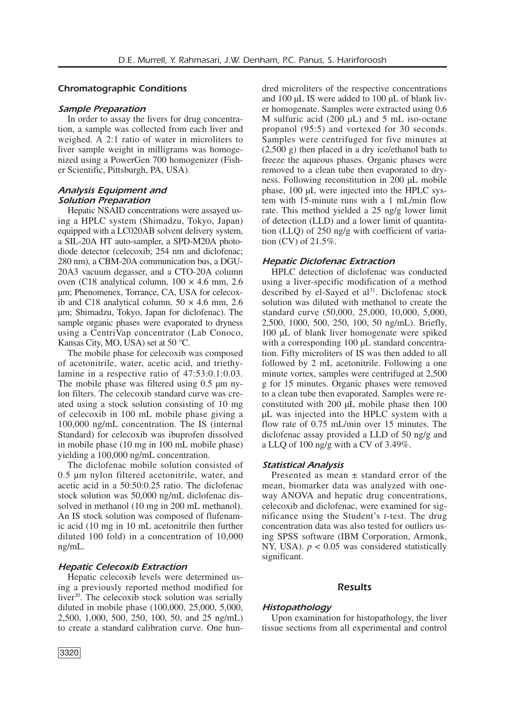# *Chromatographic Conditions*

#### *Sample Preparation*

In order to assay the livers for drug concentration, a sample was collected from each liver and weighed. A 2:1 ratio of water in microliters to liver sample weight in milligrams was homogenized using a PowerGen 700 homogenizer (Fisher Scientific, Pittsburgh, PA, USA).

# *Analysis Equipment and Solution Preparation*

Hepatic NSAID concentrations were assayed using a HPLC system (Shimadzu, Tokyo, Japan) equipped with a LC020AB solvent delivery system, a SIL-20A HT auto-sampler, a SPD-M20A photodiode detector (celecoxib; 254 nm and diclofenac; 280 nm), a CBM-20A communication bus, a DGU-20A3 vacuum degasser, and a CTO-20A column oven (C18 analytical column,  $100 \times 4.6$  mm, 2.6 µm; Phenomenex, Torrance, CA, USA for celecoxib and C18 analytical column,  $50 \times 4.6$  mm, 2.6 µm; Shimadzu, Tokyo, Japan for diclofenac). The sample organic phases were evaporated to dryness using a CentriVap concentrator (Lab Conoco, Kansas City, MO, USA) set at 50 °C.

The mobile phase for celecoxib was composed of acetonitrile, water, acetic acid, and triethylamine in a respective ratio of 47:53:0.1:0.03. The mobile phase was filtered using 0.5  $\mu$ m nylon filters. The celecoxib standard curve was created using a stock solution consisting of 10 mg of celecoxib in 100 mL mobile phase giving a 100,000 ng/mL concentration. The IS (internal Standard) for celecoxib was ibuprofen dissolved in mobile phase (10 mg in 100 mL mobile phase) yielding a 100,000 ng/mL concentration.

The diclofenac mobile solution consisted of 0.5 µm nylon filtered acetonitrile, water, and acetic acid in a 50:50:0.25 ratio. The diclofenac stock solution was 50,000 ng/mL diclofenac dissolved in methanol (10 mg in 200 mL methanol). An IS stock solution was composed of flufenamic acid (10 mg in 10 mL acetonitrile then further diluted 100 fold) in a concentration of 10,000 ng/mL.

#### *Hepatic Celecoxib Extraction*

Hepatic celecoxib levels were determined using a previously reported method modified for liver<sup>30</sup>. The celecoxib stock solution was serially diluted in mobile phase (100,000, 25,000, 5,000, 2,500, 1,000, 500, 250, 100, 50, and 25 ng/mL) to create a standard calibration curve. One hundred microliters of the respective concentrations and 100 µL IS were added to 100 µL of blank liver homogenate. Samples were extracted using 0.6 M sulfuric acid  $(200 \mu L)$  and 5 mL iso-octane propanol (95:5) and vortexed for 30 seconds. Samples were centrifuged for five minutes at (2,500 g) then placed in a dry ice/ethanol bath to freeze the aqueous phases. Organic phases were removed to a clean tube then evaporated to dryness. Following reconstitution in 200 µL mobile phase, 100 µL were injected into the HPLC system with 15-minute runs with a 1 mL/min flow rate. This method yielded a 25 ng/g lower limit of detection (LLD) and a lower limit of quantitation (LLQ) of 250 ng/g with coefficient of variation (CV) of 21.5%.

#### *Hepatic Diclofenac Extraction*

HPLC detection of diclofenac was conducted using a liver-specific modification of a method described by el-Sayed et al<sup>31</sup>. Diclofenac stock solution was diluted with methanol to create the standard curve (50,000, 25,000, 10,000, 5,000, 2,500, 1000, 500, 250, 100, 50 ng/mL). Briefly, 100 µL of blank liver homogenate were spiked with a corresponding 100 µL standard concentration. Fifty microliters of IS was then added to all followed by 2 mL acetonitrile. Following a one minute vortex, samples were centrifuged at 2,500 g for 15 minutes. Organic phases were removed to a clean tube then evaporated. Samples were reconstituted with 200 uL mobile phase then 100 µL was injected into the HPLC system with a flow rate of 0.75 mL/min over 15 minutes. The diclofenac assay provided a LLD of 50 ng/g and a LLQ of 100 ng/g with a CV of 3.49%.

#### *Statistical Analysis*

Presented as mean ± standard error of the mean, biomarker data was analyzed with oneway ANOVA and hepatic drug concentrations, celecoxib and diclofenac, were examined for significance using the Student's *t*-test. The drug concentration data was also tested for outliers using SPSS software (IBM Corporation, Armonk, NY, USA). *p* < 0.05 was considered statistically significant.

#### *Results*

# *Histopathology*

Upon examination for histopathology, the liver tissue sections from all experimental and control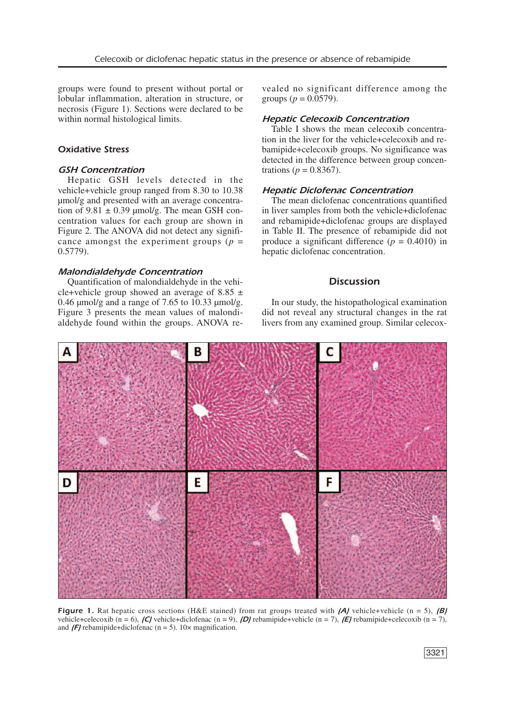groups were found to present without portal or lobular inflammation, alteration in structure, or necrosis (Figure 1). Sections were declared to be within normal histological limits.

#### *Oxidative Stress*

#### *GSH Concentration*

Hepatic GSH levels detected in the vehicle+vehicle group ranged from 8.30 to 10.38 µmol/g and presented with an average concentration of  $9.81 \pm 0.39$  µmol/g. The mean GSH concentration values for each group are shown in Figure 2. The ANOVA did not detect any significance amongst the experiment groups  $(p =$ 0.5779).

#### *Malondialdehyde Concentration*

Quantification of malondialdehyde in the vehicle+vehicle group showed an average of 8.85  $\pm$ 0.46  $\mu$ mol/g and a range of 7.65 to 10.33  $\mu$ mol/g. Figure 3 presents the mean values of malondialdehyde found within the groups. ANOVA revealed no significant difference among the groups ( $p = 0.0579$ ).

#### *Hepatic Celecoxib Concentration*

Table I shows the mean celecoxib concentration in the liver for the vehicle+celecoxib and rebamipide+celecoxib groups. No significance was detected in the difference between group concentrations ( $p = 0.8367$ ).

### *Hepatic Diclofenac Concentration*

The mean diclofenac concentrations quantified in liver samples from both the vehicle+diclofenac and rebamipide+diclofenac groups are displayed in Table II. The presence of rebamipide did not produce a significant difference  $(p = 0.4010)$  in hepatic diclofenac concentration.

# *Discussion*

In our study, the histopathological examination did not reveal any structural changes in the rat livers from any examined group. Similar celecox-



*Figure* 1. Rat hepatic cross sections (H&E stained) from rat groups treated with *(A)* vehicle+vehicle (n = 5), *(B)* vehicle+celecoxib (n = 6), *(C)* vehicle+diclofenac (n = 9), *(D)* rebamipide+vehicle (n = 7), *(E)* rebamipide+celecoxib (n = 7), and  $\sqrt{F}$  rebamipide+diclofenac (n = 5). 10 $\times$  magnification.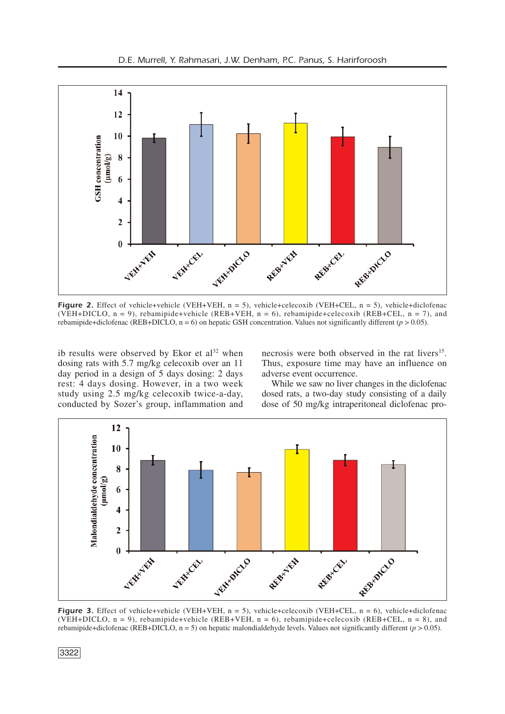

*Figure 2.* Effect of vehicle+vehicle (VEH+VEH, n = 5), vehicle+celecoxib (VEH+CEL, n = 5), vehicle+diclofenac (VEH+DICLO,  $n = 9$ ), rebamipide+vehicle (REB+VEH,  $n = 6$ ), rebamipide+celecoxib (REB+CEL,  $n = 7$ ), and rebamipide+diclofenac (REB+DICLO,  $n = 6$ ) on hepatic GSH concentration. Values not significantly different ( $p > 0.05$ ).

ib results were observed by Ekor et al <sup>32</sup> when dosing rats with 5.7 mg/kg celecoxib over an 11 day period in a design of 5 days dosing: 2 days rest: 4 days dosing. However, in a two week study using 2.5 mg/kg celecoxib twice-a-day, conducted by Sozer's group, inflammation and

necrosis were both observed in the rat livers<sup>15</sup>. Thus, exposure time may have an influence on adverse event occurrence.

While we saw no liver changes in the diclofenac dosed rats, a two-day study consisting of a daily dose of 50 mg/kg intraperitoneal diclofenac pro-



**Figure** 3. Effect of vehicle+vehicle (VEH+VEH, n = 5), vehicle+celecoxib (VEH+CEL, n = 6), vehicle+diclofenac (VEH+DICLO,  $n = 9$ ), rebamipide+vehicle (REB+VEH,  $n = 6$ ), rebamipide+celecoxib (REB+CEL,  $n = 8$ ), and rebamipide+diclofenac (REB+DICLO,  $n = 5$ ) on hepatic malondialdehyde levels. Values not significantly different ( $p > 0.05$ ).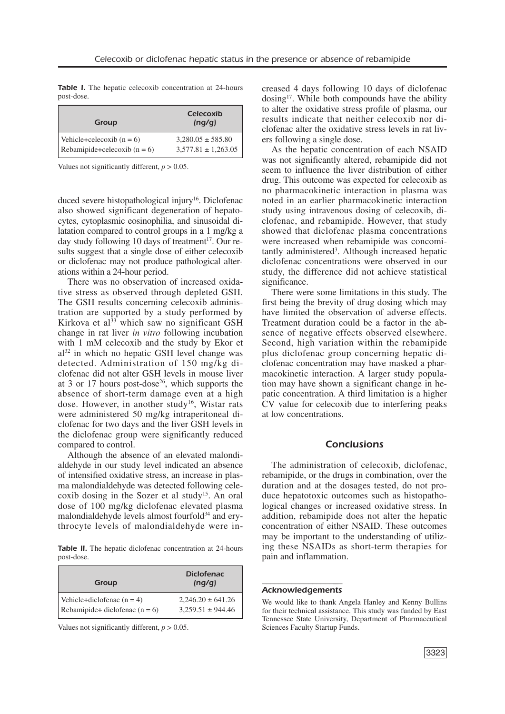*Table I.* The hepatic celecoxib concentration at 24-hours post-dose.

| Group                          | <b>Celecoxib</b><br>(nq/q) |
|--------------------------------|----------------------------|
| Vehicle+celecoxib $(n = 6)$    | $3,280.05 \pm 585.80$      |
| Rebamipide+celecoxib $(n = 6)$ | $3,577.81 \pm 1,263.05$    |

Values not significantly different,  $p > 0.05$ .

duced severe histopathological injury<sup>16</sup>. Diclofenac also showed significant degeneration of hepatocytes, cytoplasmic eosinophilia, and sinusoidal dilatation compared to control groups in a 1 mg/kg a day study following 10 days of treatment 17 . Our results suggest that a single dose of either celecoxib or diclofenac may not produce pathological alterations within a 24-hour period.

There was no observation of increased oxidative stress as observed through depleted GSH. The GSH results concerning celecoxib administration are supported by a study performed by Kirkova et al <sup>33</sup> which saw no significant GSH change in rat liver *in vitro* following incubation with 1 mM celecoxib and the study by Ekor et al <sup>32</sup> in which no hepatic GSH level change was detected. Administration of 150 mg/kg diclofenac did not alter GSH levels in mouse liver at 3 or 17 hours post-dose<sup>26</sup>, which supports the absence of short-term damage even at a high dose. However, in another study<sup>16</sup>, Wistar rats were administered 50 mg/kg intraperitoneal diclofenac for two days and the liver GSH levels in the diclofenac group were significantly reduced compared to control.

Although the absence of an elevated malondialdehyde in our study level indicated an absence of intensified oxidative stress, an increase in plasma malondialdehyde was detected following celecoxib dosing in the Sozer et al study<sup>15</sup>. An oral dose of 100 mg/kg diclofenac elevated plasma malondialdehyde levels almost fourfold<sup>34</sup> and erythrocyte levels of malondialdehyde were in-

*Table II.* The hepatic diclofenac concentration at 24-hours post-dose.

| Group                            | <b>Diclofenac</b><br>(nq/q) |
|----------------------------------|-----------------------------|
| Vehicle+diclofenac $(n = 4)$     | $2,246.20 \pm 641.26$       |
| Rebamipide+ diclofenac $(n = 6)$ | $3,259.51 \pm 944.46$       |

Values not significantly different, *p* > 0.05.

creased 4 days following 10 days of diclofenac dosing<sup>17</sup>. While both compounds have the ability to alter the oxidative stress profile of plasma, our results indicate that neither celecoxib nor diclofenac alter the oxidative stress levels in rat livers following a single dose.

As the hepatic concentration of each NSAID was not significantly altered, rebamipide did not seem to influence the liver distribution of either drug. This outcome was expected for celecoxib as no pharmacokinetic interaction in plasma was noted in an earlier pharmacokinetic interaction study using intravenous dosing of celecoxib, diclofenac, and rebamipide. However, that study showed that diclofenac plasma concentrations were increased when rebamipide was concomitantly administered<sup>3</sup>. Although increased hepatic diclofenac concentrations were observed in our study, the difference did not achieve statistical significance.

There were some limitations in this study. The first being the brevity of drug dosing which may have limited the observation of adverse effects. Treatment duration could be a factor in the absence of negative effects observed elsewhere. Second, high variation within the rebamipide plus diclofenac group concerning hepatic diclofenac concentration may have masked a pharmacokinetic interaction. A larger study population may have shown a significant change in hepatic concentration. A third limitation is a higher CV value for celecoxib due to interfering peaks at low concentrations.

#### *Conclusions*

The administration of celecoxib, diclofenac, rebamipide, or the drugs in combination, over the duration and at the dosages tested, do not produce hepatotoxic outcomes such as histopathological changes or increased oxidative stress. In addition, rebamipide does not alter the hepatic concentration of either NSAID. These outcomes may be important to the understanding of utilizing these NSAIDs as short-term therapies for pain and inflammation.

#### ––––––––––––––––––– *Acknowledgements*

We would like to thank Angela Hanley and Kenny Bullins for their technical assistance. This study was funded by East Tennessee State University, Department of Pharmaceutical Sciences Faculty Startup Funds.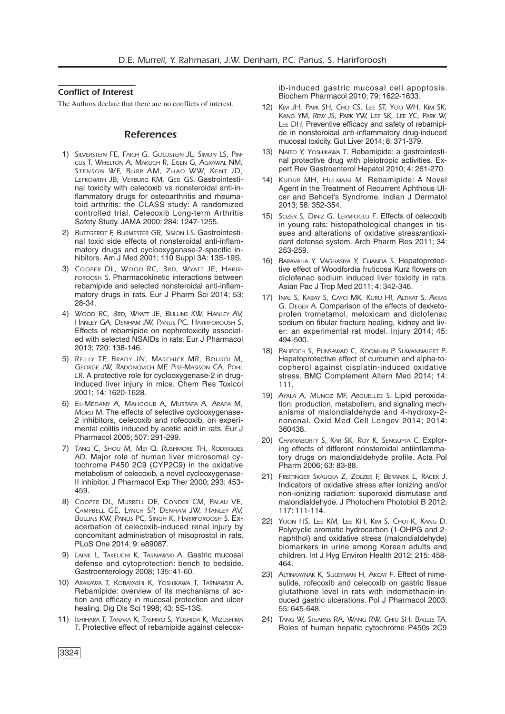### –––––––––––––––––-––– *Conflict of Interest*

The Authors declare that there are no conflicts of interest.

#### *References*

- 1) *SILVERSTEIN FE, FAICH G, GOLDSTEIN JL, SIMON LS, PIN-CUS T, WHELTON A, MAKUCH R, EISEN G, AGRAWAL NM, STENSON WF, BURR AM, ZHAO WW, KENT JD, LEFKOWITH JB, VERBURG KM, GEIS GS*. Gastrointestinal toxicity with celecoxib vs nonsteroidal anti-inflammatory drugs for osteoarthritis and rheumatoid arthritis: the CLASS study: A randomized controlled trial. Celecoxib Long-term Arthritis Safety Study. JAMA 2000; 284: 1247-1255.
- 2) *BUTTGEREIT F, BURMESTER GR, SIMON LS*. Gastrointestinal toxic side effects of nonsteroidal anti-inflammatory drugs and cyclooxygenase-2-specific inhibitors. Am J Med 2001; 110 Suppl 3A: 13S-19S.
- 3) *COOPER DL, WOOD RC, 3RD, WYATT JE, HARIR-FOROOSH S*. Pharmacokinetic interactions between rebamipide and selected nonsteroidal anti-inflammatory drugs in rats. Eur J Pharm Sci 2014; 53: 28-34.
- 4) *WOOD RC, 3RD, WYATT JE, BULLINS KW, HANLEY AV, HANLEY GA, DENHAM JW, PANUS PC, HARIRFOROOSH S*. Effects of rebamipide on nephrotoxicity associated with selected NSAIDs in rats. Eur J Pharmacol 2013; 720: 138-146.
- 5) *REILLY TP, BRADY JN, MARCHICK MR, BOURDI M, GEORGE JW, RADONOVICH MF, PISE-MASISON CA, POHL LR*. A protective role for cyclooxygenase-2 in druginduced liver injury in mice. Chem Res Toxicol 2001; 14: 1620-1628.
- 6) *EL-MEDANY A, MAHGOUB A, MUSTAFA A, ARAFA M, MORSI M*. The effects of selective cyclooxygenase-2 inhibitors, celecoxib and rofecoxib, on experimental colitis induced by acetic acid in rats. Eur J Pharmacol 2005; 507: 291-299.
- 7) *TANG C, SHOU M, MEI Q, RUSHMORE TH, RODRIGUES AD*. Major role of human liver microsomal cytochrome P450 2C9 (CYP2C9) in the oxidative metabolism of celecoxib, a novel cyclooxygenase-II inhibitor. J Pharmacol Exp Ther 2000; 293: 453- 459.
- 8) *COOPER DL, MURRELL DE, CONDER CM, PALAU VE, CAMPBELL GE, LYNCH SP, DENHAM JW, HANLEY AV, BULLINS KW, PANUS PC, SINGH K, HARIRFOROOSH S*. Exacerbation of celecoxib-induced renal injury by concomitant administration of misoprostol in rats. PLoS One 2014; 9: e89087.
- 9) *LAINE L, TAKEUCHI K, TARNAWSKI A.* Gastric mucosal defense and cytoprotection: bench to bedside. Gastroenterology 2008; 135: 41-60.
- 10) *ARAKAWA T, KOBAYASHI K, YOSHIKAWA T, TARNAWSKI A*. Rebamipide: overview of its mechanisms of action and efficacy in mucosal protection and ulcer healing. Dig Dis Sci 1998; 43: 5S-13S.
- 11) *ISHIHARA T, TANAKA K, TASHIRO S, YOSHIDA K, MIZUSHIMA T*. Protective effect of rebamipide against celecox-

ib-induced gastric mucosal cell apoptosis. Biochem Pharmacol 2010; 79: 1622-1633.

- 12) *KIM JH, PARK SH, CHO CS, LEE ST, YOO WH, KIM SK, KANG YM, REW JS, PARK YW, LEE SK, LEE YC, PARK W, LEE DH*. Preventive efficacy and safety of rebamipide in nonsteroidal anti-inflammatory drug-induced mucosal toxicity. Gut Liver 2014; 8: 371-379.
- 13) *NAITO Y, YOSHIKAWA T*. Rebamipide: a gastrointestinal protective drug with pleiotropic activities. Expert Rev Gastroenterol Hepatol 2010; 4: 261-270.
- 14) *KUDUR MH, HULMANI M.* Rebamipide: A Novel Agent in the Treatment of Recurrent Aphthous Ulcer and Behcet's Syndrome. Indian J Dermatol 2013; 58: 352-354.
- 15) *SOZER S, DINIZ G, LERMIOGLU F*. Effects of celecoxib in young rats: histopathological changes in tissues and alterations of oxidative stress/antioxidant defense system. Arch Pharm Res 2011; 34: 253-259.
- 16) *BARAVALIA Y, VAGHASIYA Y, CHANDA S*. Hepatoprotective effect of Woodfordia fruticosa Kurz flowers on diclofenac sodium induced liver toxicity in rats. Asian Pac J Trop Med 2011; 4: 342-346.
- 17) *INAL S, KABAY S, CAYCI MK, KURU HI, ALTIKAT S, AKKAS G, DEGER A*. Comparison of the effects of dexketoprofen trometamol, meloxicam and diclofenac sodium on fibular fracture healing, kidney and liver: an experimental rat model. Injury 2014; 45: 494-500.
- 18) *PALIPOCH S, PUNSAWAD C, KOOMHIN P, SUWANNALERT P*. Hepatoprotective effect of curcumin and alpha-tocopherol against cisplatin-induced oxidative stress. BMC Complement Altern Med 2014; 14: 111.
- 19) *AYALA A, MUNOZ MF, ARGUELLES S*. Lipid peroxidation: production, metabolism, and signaling mechanisms of malondialdehyde and 4-hydroxy-2 nonenal. Oxid Med Cell Longev 2014; 2014: 360438.
- 20) *CHAKRABORTY S, KAR SK, ROY K, SENGUPTA C*. Exploring effects of different nonsteroidal antiinflammatory drugs on malondialdehyde profile. Acta Pol Pharm 2006; 63: 83-88.
- 21) *FREITINGER SKALICKA Z, ZOLZER F, BERANEK L, RACEK J*. Indicators of oxidative stress after ionizing and/or non-ionizing radiation: superoxid dismutase and malondialdehyde. J Photochem Photobiol B 2012; 117: 111-114.
- 22) *YOON HS, LEE KM, LEE KH, KIM S, CHOI K, KANG D*. Polycyclic aromatic hydrocarbon (1-OHPG and 2 naphthol) and oxidative stress (malondialdehyde) biomarkers in urine among Korean adults and children. Int J Hyg Environ Health 2012; 215: 458- 464.
- 23) *ALTINKAYNAK K, SULEYMAN H, AKCAY F*. Effect of nimesulide, rofecoxib and celecoxib on gastric tissue glutathione level in rats with indomethacin-induced gastric ulcerations. Pol J Pharmacol 2003; 55: 645-648.
- 24) *TANG W, STEARNS RA, WANG RW, CHIU SH, BAILLIE TA*. Roles of human hepatic cytochrome P450s 2C9